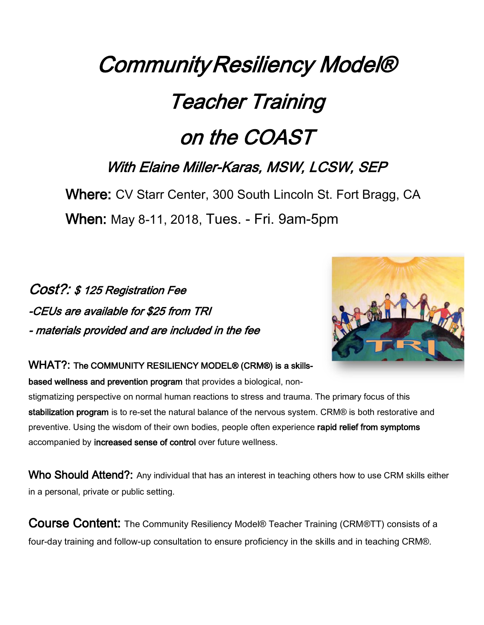## Community Resiliency Model® Teacher Training on the COAST With Elaine Miller-Karas, MSW, LCSW, SEP

Where: CV Starr Center, 300 South Lincoln St. Fort Bragg, CA When: May 8-11, 2018, Tues. - Fri. 9am-5pm

## Cost?: \$ 125 Registration Fee -CEUs are available for \$25 from TRI - materials provided and are included in the fee



## WHAT?: The COMMUNITY RESILIENCY MODEL® (CRM®) is a skills-

based wellness and prevention program that provides a biological, non-

stigmatizing perspective on normal human reactions to stress and trauma. The primary focus of this stabilization program is to re-set the natural balance of the nervous system. CRM® is both restorative and preventive. Using the wisdom of their own bodies, people often experience rapid relief from symptoms accompanied by increased sense of control over future wellness.

Who Should Attend?: Any individual that has an interest in teaching others how to use CRM skills either in a personal, private or public setting.

Course Content: The Community Resiliency Model® Teacher Training (CRM®TT) consists of a four-day training and follow-up consultation to ensure proficiency in the skills and in teaching CRM®.